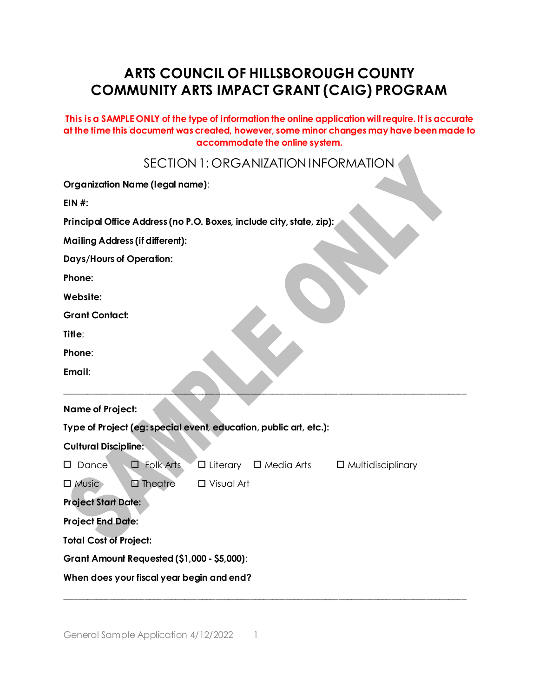# **ARTS COUNCIL OF HILLSBOROUGH COUNTY COMMUNITY ARTS IMPACT GRANT (CAIG) PROGRAM**

**This is a SAMPLE ONLY of the type of information the online application will require. It is accurate at the time this document was created, however, some minor changes may have been made to accommodate the online system.**

SECTION 1: ORGANIZATION INFORMATION

| Organization Name (legal name):                                                 |                                                                   |                          |  |                                        |  |  |
|---------------------------------------------------------------------------------|-------------------------------------------------------------------|--------------------------|--|----------------------------------------|--|--|
| $EIN$ #:<br>Principal Office Address (no P.O. Boxes, include city, state, zip): |                                                                   |                          |  |                                        |  |  |
|                                                                                 |                                                                   |                          |  | <b>Mailing Address (if different):</b> |  |  |
| <b>Days/Hours of Operation:</b><br>Phone:<br>Website:<br><b>Grant Contact:</b>  |                                                                   |                          |  |                                        |  |  |
|                                                                                 |                                                                   |                          |  | Title:                                 |  |  |
|                                                                                 |                                                                   |                          |  | Phone:                                 |  |  |
|                                                                                 |                                                                   |                          |  | Email:                                 |  |  |
| <b>Name of Project:</b>                                                         |                                                                   |                          |  |                                        |  |  |
|                                                                                 | Type of Project (eg: special event, education, public art, etc.): |                          |  |                                        |  |  |
| <b>Cultural Discipline:</b>                                                     |                                                                   |                          |  |                                        |  |  |
| $\Box$ Dance<br>Folk Arts<br>□                                                  | $\Box$ Literary<br>$\Box$ Media Arts                              | $\Box$ Multidisciplinary |  |                                        |  |  |
| $\square$ Theatre<br>$\Box$ Music                                               | $\Box$ Visual Art                                                 |                          |  |                                        |  |  |
| <b>Project Start Date:</b>                                                      |                                                                   |                          |  |                                        |  |  |
| <b>Project End Date:</b>                                                        |                                                                   |                          |  |                                        |  |  |
| <b>Total Cost of Project:</b>                                                   |                                                                   |                          |  |                                        |  |  |
| <b>Grant Amount Requested (\$1,000 - \$5,000):</b>                              |                                                                   |                          |  |                                        |  |  |
| When does your fiscal year begin and end?                                       |                                                                   |                          |  |                                        |  |  |

\_\_\_\_\_\_\_\_\_\_\_\_\_\_\_\_\_\_\_\_\_\_\_\_\_\_\_\_\_\_\_\_\_\_\_\_\_\_\_\_\_\_\_\_\_\_\_\_\_\_\_\_\_\_\_\_\_\_\_\_\_\_\_\_\_\_\_\_\_\_\_\_\_\_\_\_\_\_\_\_\_\_\_\_\_\_\_\_\_\_\_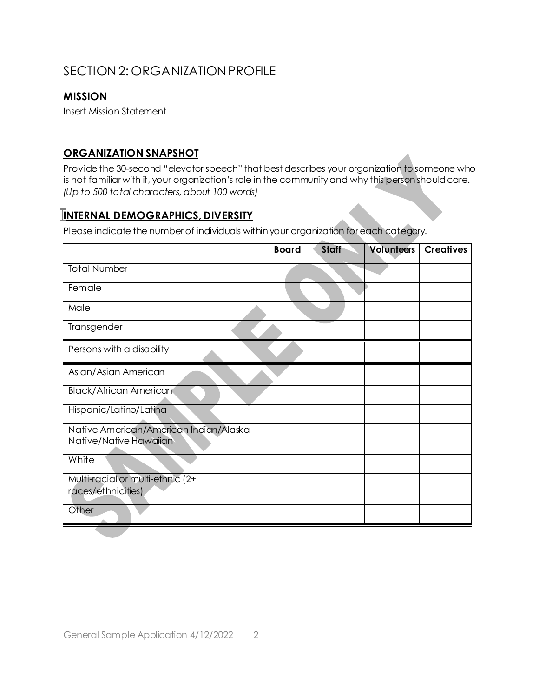## SECTION 2: ORGANIZATION PROFILE

### **MISSION**

Insert Mission Statement

### **ORGANIZATION SNAPSHOT**

Provide the 30-second "elevator speech" that best describes your organization to someone who is not familiar with it, your organization's role in the community and why this person should care. *(Up to 500 total characters, about 100 words)*

### **INTERNAL DEMOGRAPHICS, DIVERSITY**

Please indicate the numberof individuals within your organization foreach category.

|                                                                  | <b>Board</b> | <b>Staff</b> | <b>Volunteers</b> | <b>Creatives</b> |
|------------------------------------------------------------------|--------------|--------------|-------------------|------------------|
| <b>Total Number</b>                                              |              |              |                   |                  |
| Female                                                           |              |              |                   |                  |
| Male                                                             |              |              |                   |                  |
| Transgender                                                      |              |              |                   |                  |
| Persons with a disability                                        |              |              |                   |                  |
| Asian/Asian American                                             |              |              |                   |                  |
| <b>Black/African American</b>                                    |              |              |                   |                  |
| Hispanic/Latino/Latina                                           |              |              |                   |                  |
| Native American/American Indian/Alaska<br>Native/Native Hawaiian |              |              |                   |                  |
| White                                                            |              |              |                   |                  |
| Multi-racial or multi-ethnic (2+                                 |              |              |                   |                  |
| races/ethnicities)                                               |              |              |                   |                  |
| Other                                                            |              |              |                   |                  |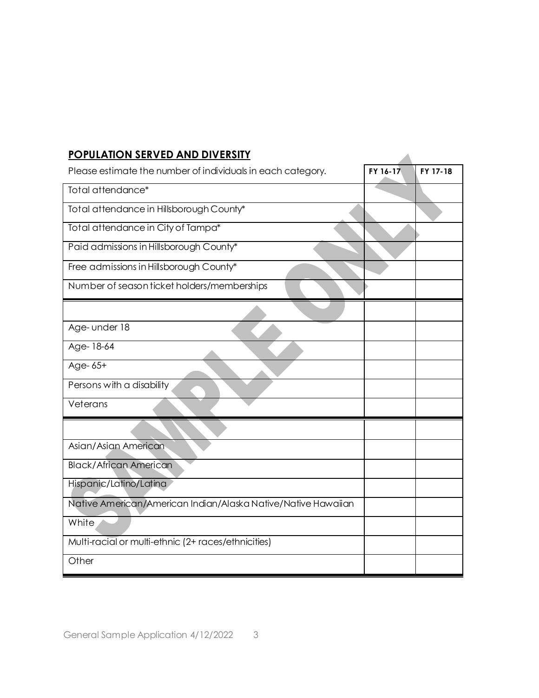### **POPULATION SERVED AND DIVERSITY**

| <b>POPULATION SERVED AND DIVERSITY</b>                        |          |          |
|---------------------------------------------------------------|----------|----------|
| Please estimate the number of individuals in each category.   | FY 16-17 | FY 17-18 |
| Total attendance*                                             |          |          |
| Total attendance in Hillsborough County*                      |          |          |
| Total attendance in City of Tampa*                            |          |          |
| Paid admissions in Hillsborough County*                       |          |          |
| Free admissions in Hillsborough County*                       |          |          |
| Number of season ticket holders/memberships                   |          |          |
|                                                               |          |          |
| Age- under 18                                                 |          |          |
| Age-18-64                                                     |          |          |
| Age-65+                                                       |          |          |
| Persons with a disability                                     |          |          |
| Veterans                                                      |          |          |
|                                                               |          |          |
| Asian/Asian American                                          |          |          |
| <b>Black/African American</b>                                 |          |          |
| Hispanic/Latino/Latina                                        |          |          |
| Native American/American Indian/Alaska Native/Native Hawaiian |          |          |
| White                                                         |          |          |
| Multi-racial or multi-ethnic (2+ races/ethnicities)           |          |          |
| Other                                                         |          |          |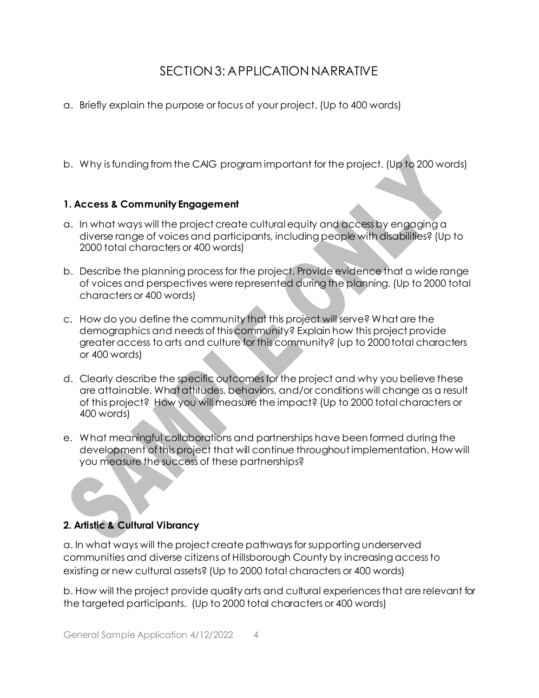## SECTION 3: APPLICATION NARRATIVE

- a. Briefly explain the purpose or focus of your project. (Up to 400 words)
- b. Why is funding from the CAIG program important for the project. (Up to 200 words)

#### **1. Access & Community Engagement**

- a. In what ways will the project create cultural equity and access by engaging a diverse range of voices and participants, including people with disabilities? (Up to 2000 total characters or 400 words)
- b. Describe the planning process for the project. Provide evidence that a wide range of voices and perspectives were represented during the planning. (Up to 2000 total characters or 400 words)
- c. How do you define the community that this project will serve? What are the demographics and needs of this community? Explain how this project provide greater access to arts and culture for this community? (up to 2000 total characters or 400 words)
- d. Clearly describe the specific outcomes for the project and why you believe these are attainable. What attitudes, behaviors, and/or conditions will change as a result of this project? How you will measure the impact? (Up to 2000 total characters or 400 words)
- e. What meaningful collaborations and partnerships have been formed during the development of this project that will continue throughout implementation. How will you measure the success of these partnerships?

### **2. Artistic & Cultural Vibrancy**

a. In what ways will the project create pathways for supporting underserved communities and diverse citizens of Hillsborough County by increasing access to existing or new cultural assets? (Up to 2000 total characters or 400 words)

b. How will the project provide quality arts and cultural experiences that are relevant for the targeted participants. (Up to 2000 total characters or 400 words)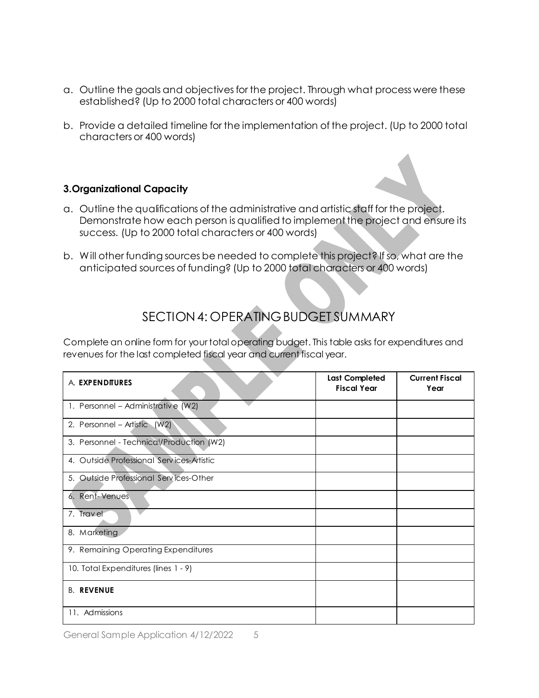- a. Outline the goals and objectives for the project. Through what process were these established? (Up to 2000 total characters or 400 words)
- b. Provide a detailed timeline for the implementation of the project. (Up to 2000 total characters or 400 words)

#### **3.Organizational Capacity**

- a. Outline the qualifications of the administrative and artistic staff for the project. Demonstrate how each person is qualified to implement the project and ensure its success. (Up to 2000 total characters or 400 words)
- b. Will other funding sources be needed to complete this project? If so, what are the anticipated sources of funding? (Up to 2000 total characters or 400 words)

## SECTION 4: OPERATING BUDGET SUMMARY

Complete an online form for your total operating budget. This table asks for expenditures and revenues for the last completed fiscal year and current fiscal year.

| A. EXPENDITURES                           | <b>Last Completed</b><br><b>Fiscal Year</b> | <b>Current Fiscal</b><br>Year |
|-------------------------------------------|---------------------------------------------|-------------------------------|
| 1. Personnel - Administrative (W2)        |                                             |                               |
| 2. Personnel – Artistic (W2)              |                                             |                               |
| 3. Personnel - Technical/Production (W2)  |                                             |                               |
| 4. Outside Professional Services-Artistic |                                             |                               |
| 5. Outside Professional Services-Other    |                                             |                               |
| 6. Rent-Venues                            |                                             |                               |
| 7. Travel                                 |                                             |                               |
| 8. Marketing                              |                                             |                               |
| 9. Remaining Operating Expenditures       |                                             |                               |
| 10. Total Expenditures (lines 1 - 9)      |                                             |                               |
| <b>B. REVENUE</b>                         |                                             |                               |
| 11. Admissions                            |                                             |                               |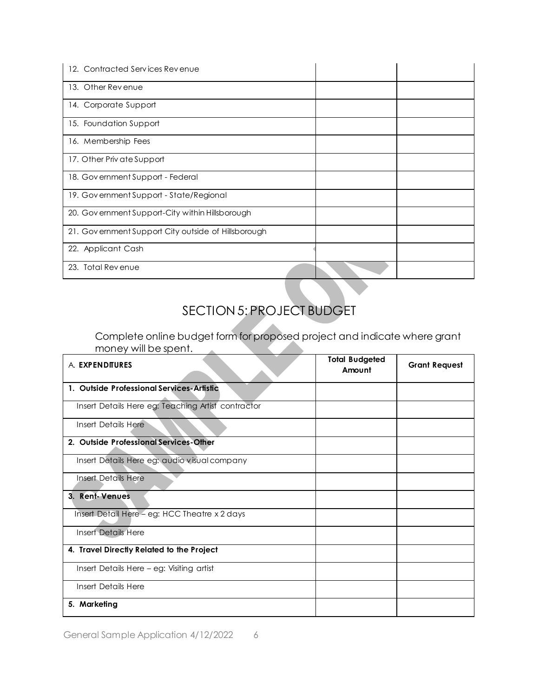| Contracted Services Revenue<br>12.                  |  |
|-----------------------------------------------------|--|
| 13. Other Revenue                                   |  |
| 14. Corporate Support                               |  |
| 15. Foundation Support                              |  |
| 16. Membership Fees                                 |  |
| 17. Other Priv ate Support                          |  |
| 18. Government Support - Federal                    |  |
| 19. Government Support - State/Regional             |  |
| 20. Government Support-City within Hillsborough     |  |
| 21. Government Support City outside of Hillsborough |  |
| 22. Applicant Cash                                  |  |
| 23. Total Revenue                                   |  |

# SECTION 5: PROJECT BUDGET

Complete online budget form for proposed project and indicate where grant money will be spent.  $\sim$   $\sim$ 

| A. EXPENDITURES                                    | <b>Total Budgeted</b><br>Amount | <b>Grant Request</b> |
|----------------------------------------------------|---------------------------------|----------------------|
| 1. Outside Professional Services-Artistic          |                                 |                      |
| Insert Details Here eg: Teaching Artist contractor |                                 |                      |
| Insert Details Here                                |                                 |                      |
| 2. Outside Professional Services-Other             |                                 |                      |
| Insert Details Here eg: audio visual company       |                                 |                      |
| Insert Details Here                                |                                 |                      |
| 3. Rent-Venues                                     |                                 |                      |
| Insert Detail Here - eg: HCC Theatre x 2 days      |                                 |                      |
| <b>Insert Details Here</b>                         |                                 |                      |
| 4. Travel Directly Related to the Project          |                                 |                      |
| Insert Details Here - eg: Visiting artist          |                                 |                      |
| Insert Details Here                                |                                 |                      |
| 5. Marketing                                       |                                 |                      |